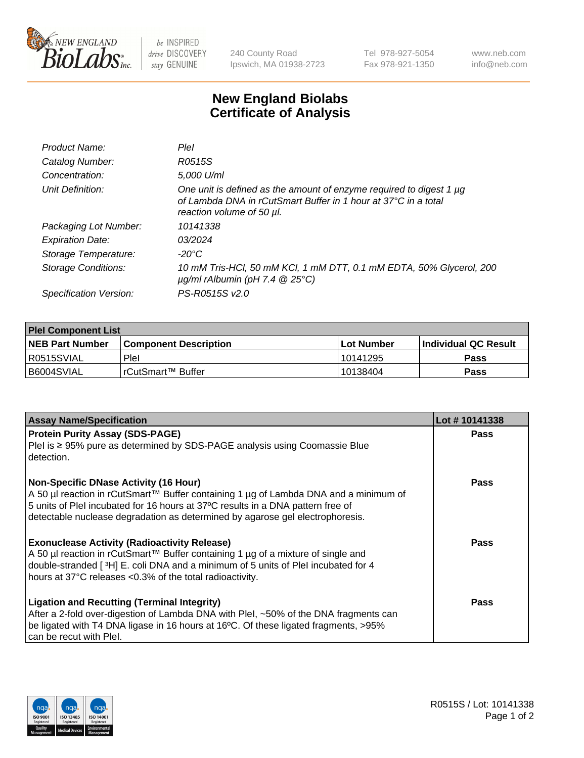

 $be$  INSPIRED drive DISCOVERY stay GENUINE

240 County Road Ipswich, MA 01938-2723 Tel 978-927-5054 Fax 978-921-1350 www.neb.com info@neb.com

## **New England Biolabs Certificate of Analysis**

| Product Name:              | Plel                                                                                                                                                               |
|----------------------------|--------------------------------------------------------------------------------------------------------------------------------------------------------------------|
| Catalog Number:            | R0515S                                                                                                                                                             |
| Concentration:             | 5,000 U/ml                                                                                                                                                         |
| Unit Definition:           | One unit is defined as the amount of enzyme required to digest 1 µg<br>of Lambda DNA in rCutSmart Buffer in 1 hour at 37°C in a total<br>reaction volume of 50 µl. |
| Packaging Lot Number:      | 10141338                                                                                                                                                           |
| <b>Expiration Date:</b>    | 03/2024                                                                                                                                                            |
| Storage Temperature:       | -20°C                                                                                                                                                              |
| <b>Storage Conditions:</b> | 10 mM Tris-HCl, 50 mM KCl, 1 mM DTT, 0.1 mM EDTA, 50% Glycerol, 200<br>$\mu$ g/ml rAlbumin (pH 7.4 $\circledR$ 25°C)                                               |
| Specification Version:     | PS-R0515S v2.0                                                                                                                                                     |
|                            |                                                                                                                                                                    |

| <b>Plel Component List</b> |                              |            |                       |  |
|----------------------------|------------------------------|------------|-----------------------|--|
| <b>NEB Part Number</b>     | <b>Component Description</b> | Lot Number | ∣Individual QC Result |  |
| R0515SVIAL                 | Plel                         | 10141295   | <b>Pass</b>           |  |
| B6004SVIAL                 | l rCutSmart™ Buffer_         | 10138404   | <b>Pass</b>           |  |

| <b>Assay Name/Specification</b>                                                                                                                                                                                                                                                                          | Lot #10141338 |
|----------------------------------------------------------------------------------------------------------------------------------------------------------------------------------------------------------------------------------------------------------------------------------------------------------|---------------|
| <b>Protein Purity Assay (SDS-PAGE)</b>                                                                                                                                                                                                                                                                   | <b>Pass</b>   |
| PleI is ≥ 95% pure as determined by SDS-PAGE analysis using Coomassie Blue<br>detection.                                                                                                                                                                                                                 |               |
| <b>Non-Specific DNase Activity (16 Hour)</b><br>A 50 µl reaction in rCutSmart™ Buffer containing 1 µg of Lambda DNA and a minimum of<br>5 units of PleI incubated for 16 hours at 37°C results in a DNA pattern free of<br>detectable nuclease degradation as determined by agarose gel electrophoresis. | <b>Pass</b>   |
| <b>Exonuclease Activity (Radioactivity Release)</b><br>A 50 µl reaction in rCutSmart™ Buffer containing 1 µg of a mixture of single and<br>double-stranded [3H] E. coli DNA and a minimum of 5 units of PleI incubated for 4<br>hours at 37°C releases <0.3% of the total radioactivity.                 | Pass          |
| <b>Ligation and Recutting (Terminal Integrity)</b><br>After a 2-fold over-digestion of Lambda DNA with PleI, ~50% of the DNA fragments can<br>be ligated with T4 DNA ligase in 16 hours at 16°C. Of these ligated fragments, >95%<br>can be recut with Plel.                                             | Pass          |